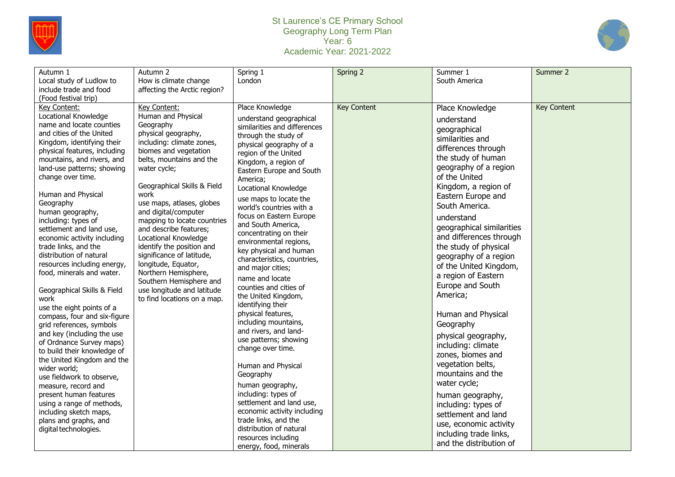

## St Laurence's CE Primary School Geography Long Term Plan Year: 6 Academic Year: 2021-2022



| Autumn 1<br>Local study of Ludlow to<br>include trade and food<br>(Food festival trip)                                                                                                                                                                                                                                                                                                                                                                                                                                                                                                                                                                                                                                                                                                                                                                                                                                                                            | Autumn 2<br>How is climate change<br>affecting the Arctic region?                                                                                                                                                                                                                                                                                                                                                                                                                                                                                      | Spring 1<br>London                                                                                                                                                                                                                                                                                                                                                                                                                                                                                                                                                                                                                                                                                                                                                                                                                                                                                                                                | Spring 2           | Summer 1<br>South America                                                                                                                                                                                                                                                                                                                                                                                                                                                                                                                                                                                                                                                                                                                         | Summer 2    |
|-------------------------------------------------------------------------------------------------------------------------------------------------------------------------------------------------------------------------------------------------------------------------------------------------------------------------------------------------------------------------------------------------------------------------------------------------------------------------------------------------------------------------------------------------------------------------------------------------------------------------------------------------------------------------------------------------------------------------------------------------------------------------------------------------------------------------------------------------------------------------------------------------------------------------------------------------------------------|--------------------------------------------------------------------------------------------------------------------------------------------------------------------------------------------------------------------------------------------------------------------------------------------------------------------------------------------------------------------------------------------------------------------------------------------------------------------------------------------------------------------------------------------------------|---------------------------------------------------------------------------------------------------------------------------------------------------------------------------------------------------------------------------------------------------------------------------------------------------------------------------------------------------------------------------------------------------------------------------------------------------------------------------------------------------------------------------------------------------------------------------------------------------------------------------------------------------------------------------------------------------------------------------------------------------------------------------------------------------------------------------------------------------------------------------------------------------------------------------------------------------|--------------------|---------------------------------------------------------------------------------------------------------------------------------------------------------------------------------------------------------------------------------------------------------------------------------------------------------------------------------------------------------------------------------------------------------------------------------------------------------------------------------------------------------------------------------------------------------------------------------------------------------------------------------------------------------------------------------------------------------------------------------------------------|-------------|
| Key Content:<br>Locational Knowledge<br>name and locate counties<br>and cities of the United<br>Kingdom, identifying their<br>physical features, including<br>mountains, and rivers, and<br>land-use patterns; showing<br>change over time.<br>Human and Physical<br>Geography<br>human geography,<br>including: types of<br>settlement and land use,<br>economic activity including<br>trade links, and the<br>distribution of natural<br>resources including energy,<br>food, minerals and water.<br>Geographical Skills & Field<br>work<br>use the eight points of a<br>compass, four and six-figure<br>grid references, symbols<br>and key (including the use<br>of Ordnance Survey maps)<br>to build their knowledge of<br>the United Kingdom and the<br>wider world;<br>use fieldwork to observe,<br>measure, record and<br>present human features<br>using a range of methods,<br>including sketch maps,<br>plans and graphs, and<br>digital technologies. | Key Content:<br>Human and Physical<br>Geography<br>physical geography,<br>including: climate zones,<br>biomes and vegetation<br>belts, mountains and the<br>water cycle;<br>Geographical Skills & Field<br>work<br>use maps, atlases, globes<br>and digital/computer<br>mapping to locate countries<br>and describe features;<br>Locational Knowledge<br>identify the position and<br>significance of latitude,<br>longitude, Equator,<br>Northern Hemisphere,<br>Southern Hemisphere and<br>use longitude and latitude<br>to find locations on a map. | Place Knowledge<br>understand geographical<br>similarities and differences<br>through the study of<br>physical geography of a<br>region of the United<br>Kingdom, a region of<br>Eastern Europe and South<br>America;<br>Locational Knowledge<br>use maps to locate the<br>world's countries with a<br>focus on Eastern Europe<br>and South America,<br>concentrating on their<br>environmental regions,<br>key physical and human<br>characteristics, countries,<br>and major cities;<br>name and locate<br>counties and cities of<br>the United Kingdom,<br>identifying their<br>physical features,<br>including mountains,<br>and rivers, and land-<br>use patterns; showing<br>change over time.<br>Human and Physical<br>Geography<br>human geography,<br>including: types of<br>settlement and land use,<br>economic activity including<br>trade links, and the<br>distribution of natural<br>resources including<br>energy, food, minerals | <b>Key Content</b> | Place Knowledge<br>understand<br>geographical<br>similarities and<br>differences through<br>the study of human<br>geography of a region<br>of the United<br>Kingdom, a region of<br>Eastern Europe and<br>South America.<br>understand<br>geographical similarities<br>and differences through<br>the study of physical<br>geography of a region<br>of the United Kingdom,<br>a region of Eastern<br>Europe and South<br>America;<br>Human and Physical<br>Geography<br>physical geography,<br>including: climate<br>zones, biomes and<br>vegetation belts,<br>mountains and the<br>water cycle;<br>human geography,<br>including: types of<br>settlement and land<br>use, economic activity<br>including trade links,<br>and the distribution of | Key Content |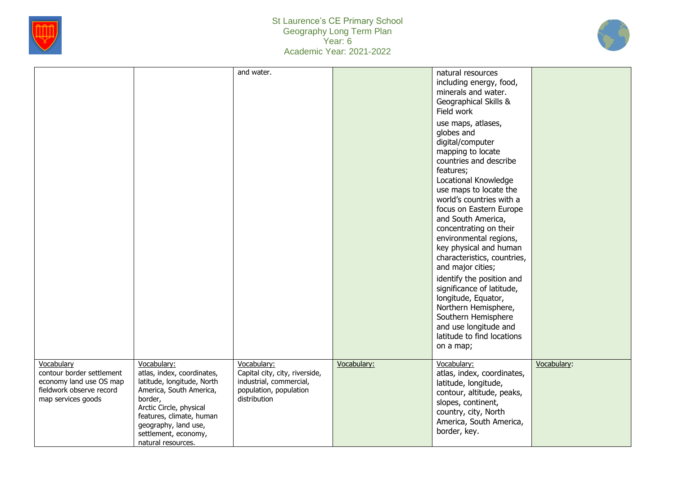



|                                                                                                                      |                                                                                                                                                                                                                                            | and water.                                                                                                         |             | natural resources<br>including energy, food,<br>minerals and water.<br>Geographical Skills &<br>Field work<br>use maps, atlases,<br>globes and<br>digital/computer<br>mapping to locate<br>countries and describe<br>features;<br>Locational Knowledge<br>use maps to locate the<br>world's countries with a<br>focus on Eastern Europe<br>and South America,<br>concentrating on their<br>environmental regions,<br>key physical and human<br>characteristics, countries,<br>and major cities;<br>identify the position and<br>significance of latitude,<br>longitude, Equator,<br>Northern Hemisphere,<br>Southern Hemisphere<br>and use longitude and<br>latitude to find locations<br>on a map; |             |
|----------------------------------------------------------------------------------------------------------------------|--------------------------------------------------------------------------------------------------------------------------------------------------------------------------------------------------------------------------------------------|--------------------------------------------------------------------------------------------------------------------|-------------|-----------------------------------------------------------------------------------------------------------------------------------------------------------------------------------------------------------------------------------------------------------------------------------------------------------------------------------------------------------------------------------------------------------------------------------------------------------------------------------------------------------------------------------------------------------------------------------------------------------------------------------------------------------------------------------------------------|-------------|
| Vocabulary<br>contour border settlement<br>economy land use OS map<br>fieldwork observe record<br>map services goods | Vocabulary:<br>atlas, index, coordinates,<br>latitude, longitude, North<br>America, South America,<br>border,<br>Arctic Circle, physical<br>features, climate, human<br>geography, land use,<br>settlement, economy,<br>natural resources. | Vocabulary:<br>Capital city, city, riverside,<br>industrial, commercial,<br>population, population<br>distribution | Vocabulary: | Vocabulary:<br>atlas, index, coordinates,<br>latitude, longitude,<br>contour, altitude, peaks,<br>slopes, continent,<br>country, city, North<br>America, South America,<br>border, key.                                                                                                                                                                                                                                                                                                                                                                                                                                                                                                             | Vocabulary: |